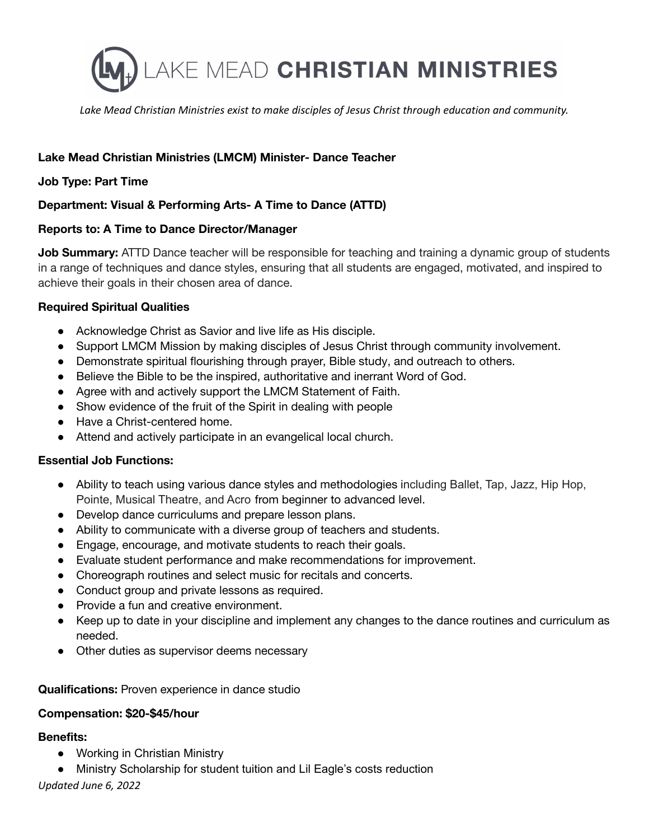

*Lake Mead Christian Ministries exist to make disciples of Jesus Christ through education and community.*

# **Lake Mead Christian Ministries (LMCM) Minister- Dance Teacher**

## **Job Type: Part Time**

# **Department: Visual & Performing Arts- A Time to Dance (ATTD)**

### **Reports to: A Time to Dance Director/Manager**

**Job Summary:** ATTD Dance teacher will be responsible for teaching and training a dynamic group of students in a range of techniques and dance styles, ensuring that all students are engaged, motivated, and inspired to achieve their goals in their chosen area of dance.

### **Required Spiritual Qualities**

- Acknowledge Christ as Savior and live life as His disciple.
- Support LMCM Mission by making disciples of Jesus Christ through community involvement.
- Demonstrate spiritual flourishing through prayer, Bible study, and outreach to others.
- Believe the Bible to be the inspired, authoritative and inerrant Word of God.
- Agree with and actively support the LMCM Statement of Faith.
- Show evidence of the fruit of the Spirit in dealing with people
- Have a Christ-centered home.
- Attend and actively participate in an evangelical local church.

### **Essential Job Functions:**

- Ability to teach using various dance styles and methodologies including Ballet, Tap, Jazz, Hip Hop, Pointe, Musical Theatre, and Acro from beginner to advanced level.
- Develop dance curriculums and prepare lesson plans.
- Ability to communicate with a diverse group of teachers and students.
- Engage, encourage, and motivate students to reach their goals.
- Evaluate student performance and make recommendations for improvement.
- Choreograph routines and select music for recitals and concerts.
- Conduct group and private lessons as required.
- Provide a fun and creative environment.
- Keep up to date in your discipline and implement any changes to the dance routines and curriculum as needed.
- Other duties as supervisor deems necessary

**Qualifications:** Proven experience in dance studio

### **Compensation: \$20-\$45/hour**

### **Benefits:**

- Working in Christian Ministry
- Ministry Scholarship for student tuition and Lil Eagle's costs reduction

### *Updated June 6, 2022*